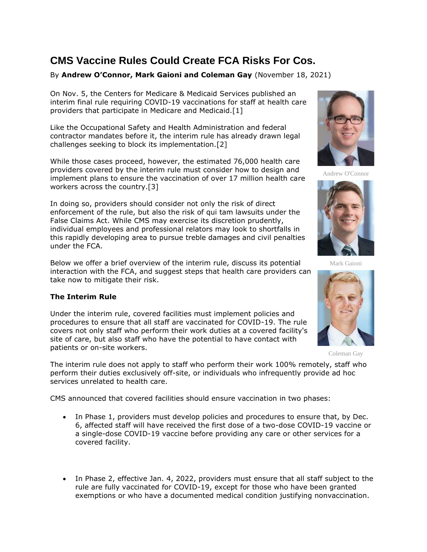# **CMS Vaccine Rules Could Create FCA Risks For Cos.**

## By **Andrew O'Connor, Mark Gaioni and Coleman Gay** (November 18, 2021)

On Nov. 5, the [Centers for Medicare & Medicaid Services](https://www.law360.com/agencies/centers-for-medicare-medicaid-services) published an interim final rule requiring COVID-19 vaccinations for staff at health care providers that participate in Medicare and Medicaid.[1]

Like the [Occupational Safety and Health Administration](https://www.law360.com/agencies/occupational-safety-and-health-administration) and federal contractor mandates before it, the interim rule has already drawn legal challenges seeking to block its implementation.[2]

While those cases proceed, however, the estimated 76,000 health care providers covered by the interim rule must consider how to design and implement plans to ensure the vaccination of over 17 million health care workers across the country.[3]

In doing so, providers should consider not only the risk of direct enforcement of the rule, but also the risk of qui tam lawsuits under the False Claims Act. While CMS may exercise its discretion prudently, individual employees and professional relators may look to shortfalls in this rapidly developing area to pursue treble damages and civil penalties under the FCA.

Below we offer a brief overview of the interim rule, discuss its potential interaction with the FCA, and suggest steps that health care providers can take now to mitigate their risk.

## **The Interim Rule**

Under the interim rule, covered facilities must implement policies and procedures to ensure that all staff are vaccinated for COVID-19. The rule covers not only staff who perform their work duties at a covered facility's site of care, but also staff who have the potential to have contact with patients or on-site workers.

The interim rule does not apply to staff who perform their work 100% remotely, staff who perform their duties exclusively off-site, or individuals who infrequently provide ad hoc services unrelated to health care.

CMS announced that covered facilities should ensure vaccination in two phases:

- In Phase 1, providers must develop policies and procedures to ensure that, by Dec. 6, affected staff will have received the first dose of a two-dose COVID-19 vaccine or a single-dose COVID-19 vaccine before providing any care or other services for a covered facility.
- In Phase 2, effective Jan. 4, 2022, providers must ensure that all staff subject to the rule are fully vaccinated for COVID-19, except for those who have been granted exemptions or who have a documented medical condition justifying nonvaccination.



Andrew O'Connor



Mark Gaioni



Coleman Gay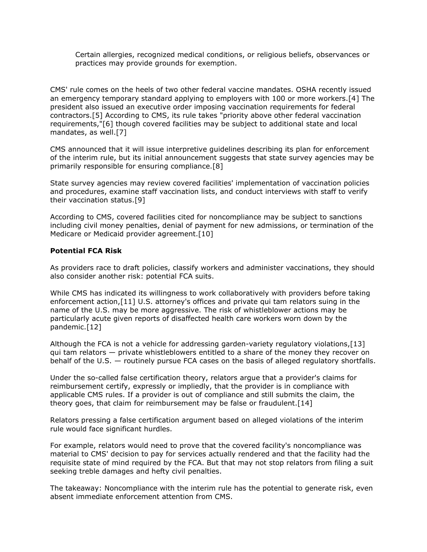Certain allergies, recognized medical conditions, or religious beliefs, observances or practices may provide grounds for exemption.

CMS' rule comes on the heels of two other federal vaccine mandates. OSHA recently issued an emergency temporary standard applying to employers with 100 or more workers.[4] The president also issued an executive order imposing vaccination requirements for federal contractors.[5] According to CMS, its rule takes "priority above other federal vaccination requirements,"[6] though covered facilities may be subject to additional state and local mandates, as well.[7]

CMS announced that it will issue interpretive guidelines describing its plan for enforcement of the interim rule, but its initial announcement suggests that state survey agencies may be primarily responsible for ensuring compliance.[8]

State survey agencies may review covered facilities' implementation of vaccination policies and procedures, examine staff vaccination lists, and conduct interviews with staff to verify their vaccination status.[9]

According to CMS, covered facilities cited for noncompliance may be subject to sanctions including civil money penalties, denial of payment for new admissions, or termination of the Medicare or Medicaid provider agreement.[10]

#### **Potential FCA Risk**

As providers race to draft policies, classify workers and administer vaccinations, they should also consider another risk: potential FCA suits.

While CMS has indicated its willingness to work collaboratively with providers before taking enforcement action,[11] U.S. attorney's offices and private qui tam relators suing in the name of the U.S. may be more aggressive. The risk of whistleblower actions may be particularly acute given reports of disaffected health care workers worn down by the pandemic.[12]

Although the FCA is not a vehicle for addressing garden-variety regulatory violations,[13] qui tam relators — private whistleblowers entitled to a share of the money they recover on behalf of the U.S. — routinely pursue FCA cases on the basis of alleged regulatory shortfalls.

Under the so-called false certification theory, relators argue that a provider's claims for reimbursement certify, expressly or impliedly, that the provider is in compliance with applicable CMS rules. If a provider is out of compliance and still submits the claim, the theory goes, that claim for reimbursement may be false or fraudulent.[14]

Relators pressing a false certification argument based on alleged violations of the interim rule would face significant hurdles.

For example, relators would need to prove that the covered facility's noncompliance was material to CMS' decision to pay for services actually rendered and that the facility had the requisite state of mind required by the FCA. But that may not stop relators from filing a suit seeking treble damages and hefty civil penalties.

The takeaway: Noncompliance with the interim rule has the potential to generate risk, even absent immediate enforcement attention from CMS.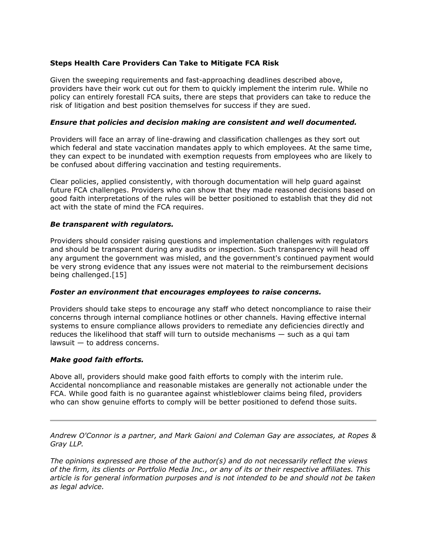## **Steps Health Care Providers Can Take to Mitigate FCA Risk**

Given the sweeping requirements and fast-approaching deadlines described above, providers have their work cut out for them to quickly implement the interim rule. While no policy can entirely forestall FCA suits, there are steps that providers can take to reduce the risk of litigation and best position themselves for success if they are sued.

## *Ensure that policies and decision making are consistent and well documented.*

Providers will face an array of line-drawing and classification challenges as they sort out which federal and state vaccination mandates apply to which employees. At the same time, they can expect to be inundated with exemption requests from employees who are likely to be confused about differing vaccination and testing requirements.

Clear policies, applied consistently, with thorough documentation will help guard against future FCA challenges. Providers who can show that they made reasoned decisions based on good faith interpretations of the rules will be better positioned to establish that they did not act with the state of mind the FCA requires.

### *Be transparent with regulators.*

Providers should consider raising questions and implementation challenges with regulators and should be transparent during any audits or inspection. Such transparency will head off any argument the government was misled, and the government's continued payment would be very strong evidence that any issues were not material to the reimbursement decisions being challenged.[15]

### *Foster an environment that encourages employees to raise concerns.*

Providers should take steps to encourage any staff who detect noncompliance to raise their concerns through internal compliance hotlines or other channels. Having effective internal systems to ensure compliance allows providers to remediate any deficiencies directly and reduces the likelihood that staff will turn to outside mechanisms — such as a qui tam lawsuit — to address concerns.

### *Make good faith efforts.*

Above all, providers should make good faith efforts to comply with the interim rule. Accidental noncompliance and reasonable mistakes are generally not actionable under the FCA. While good faith is no guarantee against whistleblower claims being filed, providers who can show genuine efforts to comply will be better positioned to defend those suits.

*[Andrew O'Connor](https://www.ropesgray.com/en/biographies/o/andrew-oconnor) is a partner, and [Mark Gaioni](https://www.ropesgray.com/en/biographies/g/Mark-Gaioni) and [Coleman Gay](https://www.ropesgray.com/en/biographies/g/Coleman-Gay) are associates, at [Ropes &](https://www.law360.com/firms/ropes-gray)  [Gray LLP.](https://www.law360.com/firms/ropes-gray)*

*The opinions expressed are those of the author(s) and do not necessarily reflect the views of the firm, its clients or Portfolio Media Inc., or any of its or their respective affiliates. This article is for general information purposes and is not intended to be and should not be taken as legal advice.*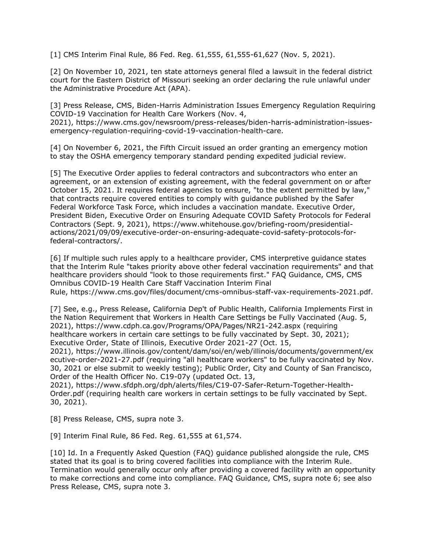[1] CMS Interim Final Rule, 86 Fed. Reg. 61,555, 61,555-61,627 (Nov. 5, 2021).

[2] On November 10, 2021, ten state attorneys general filed a lawsuit in the federal district court for the Eastern District of Missouri seeking an order declaring the rule unlawful under the Administrative Procedure Act (APA).

[3] Press Release, CMS, Biden-Harris Administration Issues Emergency Regulation Requiring COVID-19 Vaccination for Health Care Workers (Nov. 4, 2021), [https://www.cms.gov/newsroom/press-releases/biden-harris-administration-issues](https://www.cms.gov/newsroom/press-releases/biden-harris-administration-issues-emergency-regulation-requiring-covid-19-vaccination-health-care)[emergency-regulation-requiring-covid-19-vaccination-health-care.](https://www.cms.gov/newsroom/press-releases/biden-harris-administration-issues-emergency-regulation-requiring-covid-19-vaccination-health-care)

[4] On November 6, 2021, the Fifth Circuit issued an order granting an emergency motion to stay the OSHA emergency temporary standard pending expedited judicial review.

[5] The Executive Order applies to federal contractors and subcontractors who enter an agreement, or an extension of existing agreement, with the federal government on or after October 15, 2021. It requires federal agencies to ensure, "to the extent permitted by law," that contracts require covered entities to comply with guidance published by the Safer Federal Workforce Task Force, which includes a vaccination mandate. Executive Order, President Biden, Executive Order on Ensuring Adequate COVID Safety Protocols for Federal Contractors (Sept. 9, 2021), [https://www.whitehouse.gov/briefing-room/presidential](https://www.whitehouse.gov/briefing-room/presidential-actions/2021/09/09/executive-order-on-ensuring-adequate-covid-safety-protocols-for-federal-contractors/)[actions/2021/09/09/executive-order-on-ensuring-adequate-covid-safety-protocols-for](https://www.whitehouse.gov/briefing-room/presidential-actions/2021/09/09/executive-order-on-ensuring-adequate-covid-safety-protocols-for-federal-contractors/)[federal-contractors/.](https://www.whitehouse.gov/briefing-room/presidential-actions/2021/09/09/executive-order-on-ensuring-adequate-covid-safety-protocols-for-federal-contractors/)

[6] If multiple such rules apply to a healthcare provider, CMS interpretive guidance states that the Interim Rule "takes priority above other federal vaccination requirements" and that healthcare providers should "look to those requirements first." FAQ Guidance, CMS, CMS Omnibus COVID-19 Health Care Staff Vaccination Interim Final Rule, [https://www.cms.gov/files/document/cms-omnibus-staff-vax-requirements-2021.pdf.](https://www.cms.gov/files/document/cms-omnibus-staff-vax-requirements-2021.pdf)

[7] See, e.g., Press Release, California Dep't of Public Health, California Implements First in the Nation Requirement that Workers in Health Care Settings be Fully Vaccinated (Aug. 5, 2021), <https://www.cdph.ca.gov/Programs/OPA/Pages/NR21-242.aspx> (requiring healthcare workers in certain care settings to be fully vaccinated by Sept. 30, 2021); Executive Order, State of Illinois, Executive Order 2021-27 (Oct. 15,

2021), [https://www.illinois.gov/content/dam/soi/en/web/illinois/documents/government/ex](https://www.illinois.gov/content/dam/soi/en/web/illinois/documents/government/executive-order-2021-27.pdf) [ecutive-order-2021-27.pdf](https://www.illinois.gov/content/dam/soi/en/web/illinois/documents/government/executive-order-2021-27.pdf) (requiring "all healthcare workers" to be fully vaccinated by Nov. 30, 2021 or else submit to weekly testing); Public Order, City and County of San Francisco, Order of the Health Officer No. C19-07y (updated Oct. 13,

2021), [https://www.sfdph.org/dph/alerts/files/C19-07-Safer-Return-Together-Health-](https://www.sfdph.org/dph/alerts/files/C19-07-Safer-Return-Together-Health-Order.pdf)[Order.pdf](https://www.sfdph.org/dph/alerts/files/C19-07-Safer-Return-Together-Health-Order.pdf) (requiring health care workers in certain settings to be fully vaccinated by Sept. 30, 2021).

[8] Press Release, CMS, supra note 3.

[9] Interim Final Rule, 86 Fed. Reg. 61,555 at 61,574.

[10] Id. In a Frequently Asked Question (FAQ) guidance published alongside the rule, CMS stated that its goal is to bring covered facilities into compliance with the Interim Rule. Termination would generally occur only after providing a covered facility with an opportunity to make corrections and come into compliance. FAQ Guidance, CMS, supra note 6; see also Press Release, CMS, supra note 3.